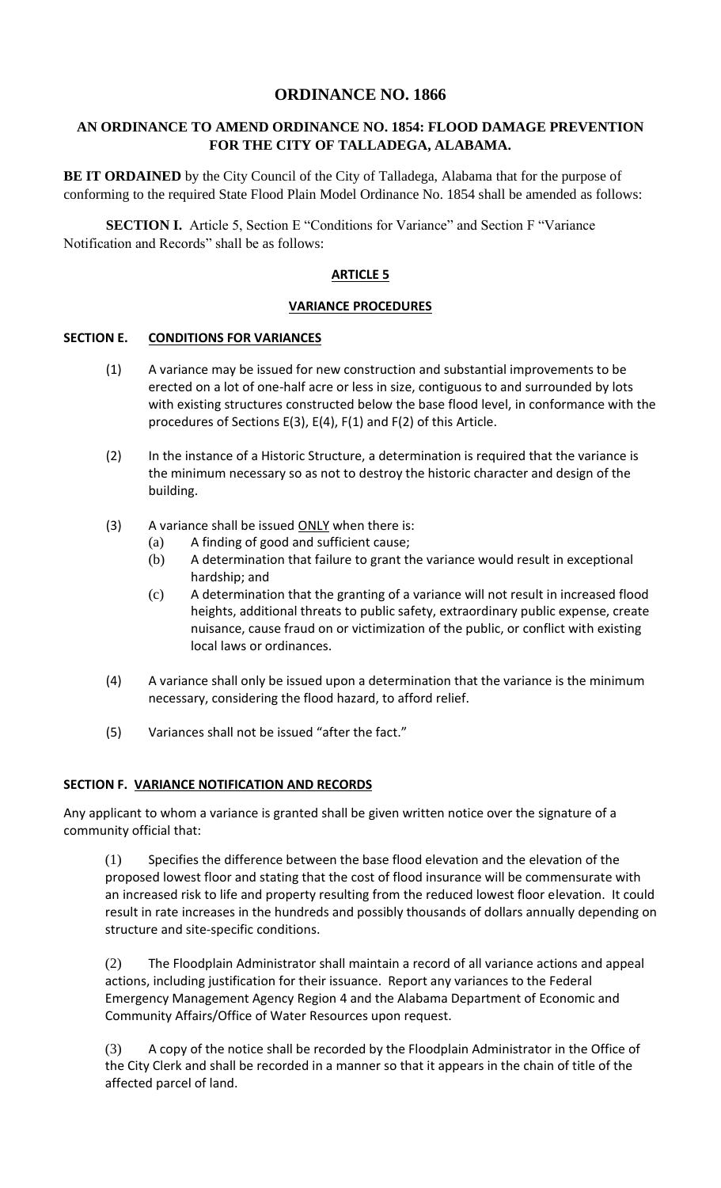# **ORDINANCE NO. 1866**

## **AN ORDINANCE TO AMEND ORDINANCE NO. 1854: FLOOD DAMAGE PREVENTION FOR THE CITY OF TALLADEGA, ALABAMA.**

**BE IT ORDAINED** by the City Council of the City of Talladega, Alabama that for the purpose of conforming to the required State Flood Plain Model Ordinance No. 1854 shall be amended as follows:

**SECTION I.** Article 5, Section E "Conditions for Variance" and Section F "Variance Notification and Records" shall be as follows:

### **ARTICLE 5**

### **VARIANCE PROCEDURES**

#### **SECTION E. CONDITIONS FOR VARIANCES**

- (1) A variance may be issued for new construction and substantial improvements to be erected on a lot of one-half acre or less in size, contiguous to and surrounded by lots with existing structures constructed below the base flood level, in conformance with the procedures of Sections E(3), E(4), F(1) and F(2) of this Article.
- (2) In the instance of a Historic Structure, a determination is required that the variance is the minimum necessary so as not to destroy the historic character and design of the building.
- $(3)$  A variance shall be issued ONLY when there is:
	- (a) A finding of good and sufficient cause;
	- (b) A determination that failure to grant the variance would result in exceptional hardship; and
	- (c) A determination that the granting of a variance will not result in increased flood heights, additional threats to public safety, extraordinary public expense, create nuisance, cause fraud on or victimization of the public, or conflict with existing local laws or ordinances.
- (4) A variance shall only be issued upon a determination that the variance is the minimum necessary, considering the flood hazard, to afford relief.
- (5) Variances shall not be issued "after the fact."

#### **SECTION F. VARIANCE NOTIFICATION AND RECORDS**

Any applicant to whom a variance is granted shall be given written notice over the signature of a community official that:

(1) Specifies the difference between the base flood elevation and the elevation of the proposed lowest floor and stating that the cost of flood insurance will be commensurate with an increased risk to life and property resulting from the reduced lowest floor elevation. It could result in rate increases in the hundreds and possibly thousands of dollars annually depending on structure and site-specific conditions.

(2) The Floodplain Administrator shall maintain a record of all variance actions and appeal actions, including justification for their issuance. Report any variances to the Federal Emergency Management Agency Region 4 and the Alabama Department of Economic and Community Affairs/Office of Water Resources upon request.

(3) A copy of the notice shall be recorded by the Floodplain Administrator in the Office of the City Clerk and shall be recorded in a manner so that it appears in the chain of title of the affected parcel of land.